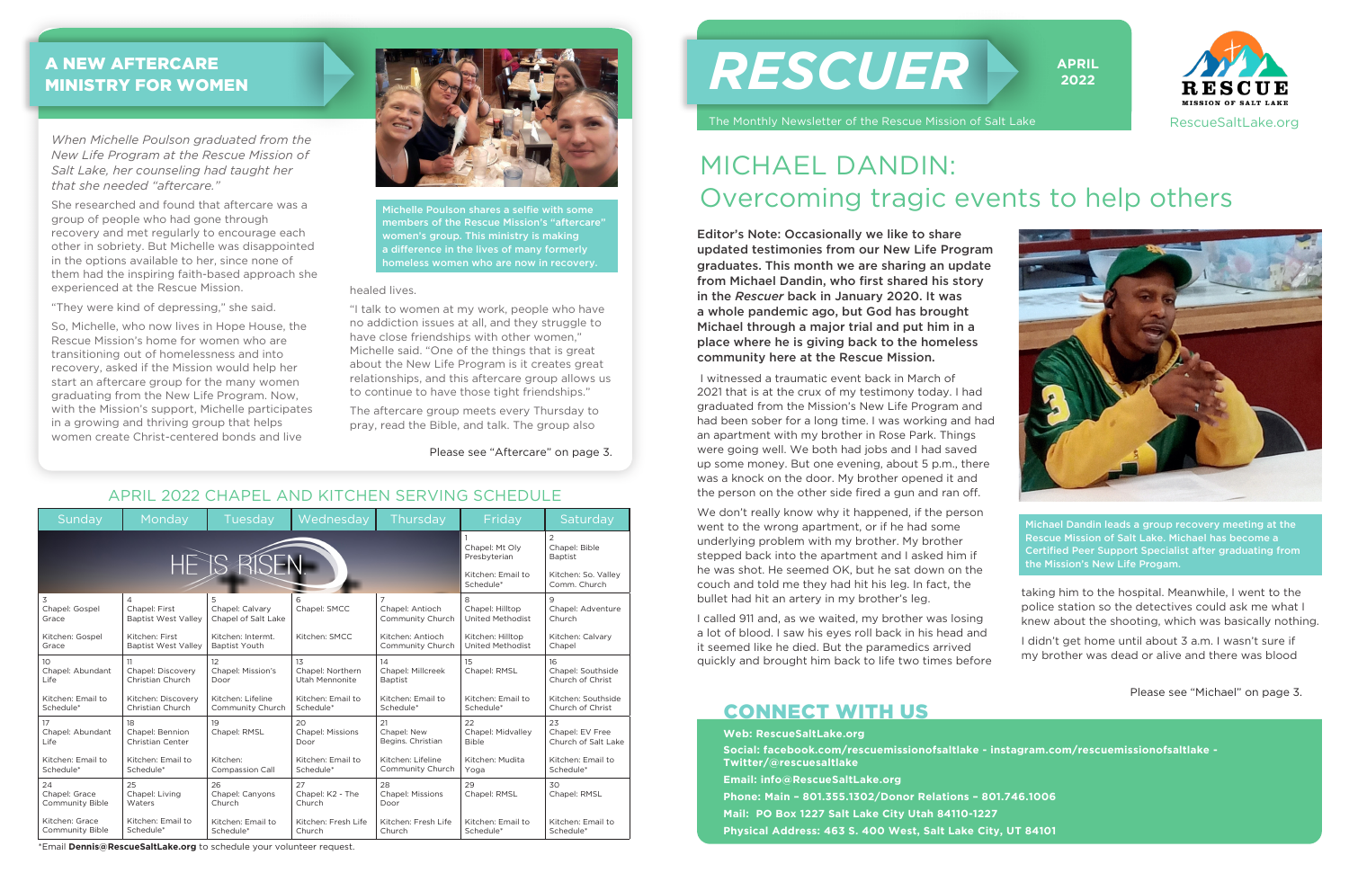#### Sunday | Monday | Tuesday | Wednesday | Thursday | Friday | Saturday 1 2 Chapel: Mt Oly Chapel: Bible HE'IS RISEN Presbyterian **Baptist** Kitchen: Email to Kitchen: So. Valley Schedule\* Comm. Church 3 4 5 6 7 8 9 Chapel: First Chapel: Adventure Chapel: Gospel Chapel: Calvary Chapel: SMCC Chapel: Antioch Chapel: Hilltop Grace Baptist West Valley Chapel of Salt Lake Community Church United Methodist Church Kitchen: Gospel Kitchen: First Kitchen: Intermt. Kitchen: SMCC Kitchen: Antioch Kitchen: Hilltop Kitchen: Calvary Grace Baptist West Valley Baptist Youth Community Church United Methodist Chanel  $1<sup>0</sup>$ 11 12 13  $14$ 15 16 Chapel: Abundant Chanel: Mission's Chapel: Northern Chapel: Millcreek Chapel: Southside Chapel: Discovery Chapel: RMSL Life Christian Church Door Utah Mennonite Baptist Church of Christ Kitchen: Email to Kitchen: Discovery Kitchen: Lifeline Kitchen: Email to Kitchen: Email to Kitchen: Email to Kitchen: Southside Church of Christ Schedule<sup>\*</sup> Christian Church Community Church Schedule<sup>\*</sup> Schedule<sup>\*</sup> Schedule\* 20 21 22 23 17 18 19 Chapel: Midvalley Chapel: Abundant Chapel: Bennion Chapel: RMSL Chapel: Missions Chapel: New Chapel: EV Free Life Christian Center Door Begins. Christian Bible Church of Salt Lake Kitchen: Email to Kitchen: Email to Kitchen: Kitchen: Email to Kitchen: Lifeline Kitchen: Mudita Kitchen: Email to Community Church Compassion Call Schedule\* Schedule\* Schedule<sup>\*</sup> Yoga Schedule<sup>\*</sup>  $28$ 29  $30$ 24 25 26 27 Chapel: RMSL Chapel: Grace Chapel: Living Chapel: Canyons Chapel: K2 - The Chapel: Missions Chapel: RMSL Community Bible **Waters** Church Church Door Kitchen: Email to Kitchen: Email to Kitchen: Grace Kitchen: Email to Kitchen: Fresh Life Kitchen: Fresh Life Kitchen: Email to **Schedule** Community Bible Schedule<sup>\*</sup> Church Church Schedule\* Schedule\*

Editor's Note: Occasionally we like to share updated testimonies from our New Life Program graduates. This month we are sharing an update from Michael Dandin, who first shared his story in the *Rescuer* back in January 2020. It was a whole pandemic ago, but God has brought Michael through a major trial and put him in a place where he is giving back to the homeless community here at the Rescue Mission.

 I witnessed a traumatic event back in March of 2021 that is at the crux of my testimony today. I had graduated from the Mission's New Life Program and had been sober for a long time. I was working and had an apartment with my brother in Rose Park. Things were going well. We both had jobs and I had saved up some money. But one evening, about 5 p.m., there was a knock on the door. My brother opened it and the person on the other side fired a gun and ran off.

We don't really know why it happened, if the person went to the wrong apartment, or if he had some underlying problem with my brother. My brother stepped back into the apartment and I asked him if he was shot. He seemed OK, but he sat down on the couch and told me they had hit his leg. In fact, the bullet had hit an artery in my brother's leg.

I called 911 and, as we waited, my brother was losing a lot of blood. I saw his eyes roll back in his head and it seemed like he died. But the paramedics arrived quickly and brought him back to life two times before taking him to the hospital. Meanwhile, I went to the police station so the detectives could ask me what I knew about the shooting, which was basically nothing.

I didn't get home until about 3 a.m. I wasn't sure if my brother was dead or alive and there was blood

## MICHAEL DANDIN: Overcoming tragic events to help others

*When Michelle Poulson graduated from the New Life Program at the Rescue Mission of Salt Lake, her counseling had taught her that she needed "aftercare."*

She researched and found that aftercare was a group of people who had gone through recovery and met regularly to encourage each other in sobriety. But Michelle was disappointed in the options available to her, since none of them had the inspiring faith-based approach she experienced at the Rescue Mission.

"They were kind of depressing," she said.

So, Michelle, who now lives in Hope House, the Rescue Mission's home for women who are transitioning out of homelessness and into recovery, asked if the Mission would help her start an aftercare group for the many women graduating from the New Life Program. Now, with the Mission's support, Michelle participates in a growing and thriving group that helps women create Christ-centered bonds and live



# *RESCUER*

The Monthly Newsletter of the Rescue Mission of Salt Lake







APRIL 2022 CHAPEL AND KITCHEN SERVING SCHEDULE

Please see "Michael" on page 3.

Michael Dandin leads a group recovery meeting at the Rescue Mission of Salt Lake. Michael has become a Certified Peer Support Specialist after graduating from the Mission's New Life Progam.

#### A NEW AFTERCARE MINISTRY FOR WOMEN

\*Email **Dennis@RescueSaltLake.org** to schedule your volunteer request.

#### healed lives.

"I talk to women at my work, people who have no addiction issues at all, and they struggle to have close friendships with other women," Michelle said. "One of the things that is great about the New Life Program is it creates great relationships, and this aftercare group allows us to continue to have those tight friendships."

The aftercare group meets every Thursday to pray, read the Bible, and talk. The group also

> **Web: RescueSaltLake.org Social: facebook.com/rescuemissionofsaltlake - instagram.com/rescuemissionofsaltlake - Twitter/@rescuesaltlake Email: info@RescueSaltLake.org Phone: Main – 801.355.1302/Donor Relations – 801.746.1006 Mail: PO Box 1227 Salt Lake City Utah 84110-1227 Physical Address: 463 S. 400 West, Salt Lake City, UT 84101**

#### CONNECT WITH US

Michelle Poulson shares a selfie with some members of the Rescue Mission's "aftercare" women's group. This ministry is making a difference in the lives of many formerly homeless women who are now in recovery.

Please see "Aftercare" on page 3.